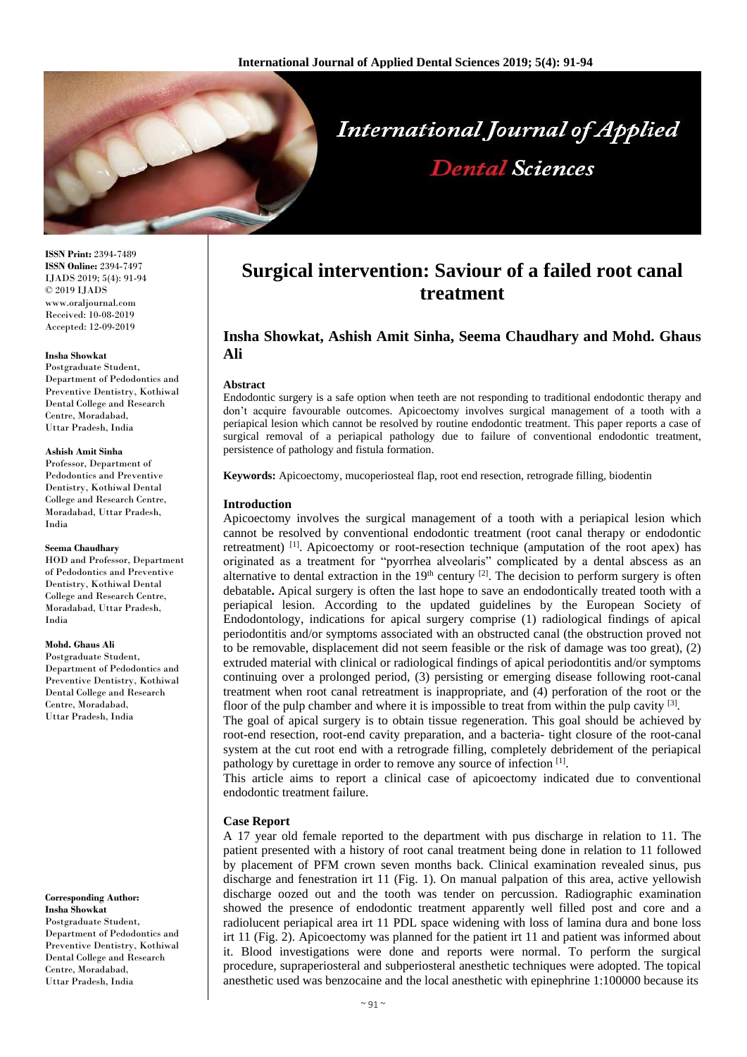

**ISSN Print:** 2394-7489 **ISSN Online:** 2394-7497 IJADS 2019; 5(4): 91-94 © 2019 IJADS www.oraljournal.com Received: 10-08-2019 Accepted: 12-09-2019

#### **Insha Showkat**

Postgraduate Student, Department of Pedodontics and Preventive Dentistry, Kothiwal Dental College and Research Centre, Moradabad, Uttar Pradesh, India

#### **Ashish Amit Sinha**

Professor, Department of Pedodontics and Preventive Dentistry, Kothiwal Dental College and Research Centre, Moradabad, Uttar Pradesh, India

#### **Seema Chaudhary**

HOD and Professor, Department of Pedodontics and Preventive Dentistry, Kothiwal Dental College and Research Centre, Moradabad, Uttar Pradesh, India

#### **Mohd. Ghaus Ali**

Postgraduate Student Department of Pedodontics and Preventive Dentistry, Kothiwal Dental College and Research Centre, Moradabad, Uttar Pradesh, India

#### **Corresponding Author: Insha Showkat** Postgraduate Student, Department of Pedodontics and Preventive Dentistry, Kothiwal Dental College and Research Centre, Moradabad, Uttar Pradesh, India

# **Surgical intervention: Saviour of a failed root canal treatment**

## **Insha Showkat, Ashish Amit Sinha, Seema Chaudhary and Mohd. Ghaus Ali**

### **Abstract**

Endodontic surgery is a safe option when teeth are not responding to traditional endodontic therapy and don't acquire favourable outcomes. Apicoectomy involves surgical management of a tooth with a periapical lesion which cannot be resolved by routine endodontic treatment. This paper reports a case of surgical removal of a periapical pathology due to failure of conventional endodontic treatment, persistence of pathology and fistula formation.

**Keywords:** Apicoectomy, mucoperiosteal flap, root end resection, retrograde filling, biodentin

## **Introduction**

Apicoectomy involves the surgical management of a tooth with a periapical lesion which cannot be resolved by conventional endodontic treatment (root canal therapy or endodontic retreatment)<sup>[1]</sup>. Apicoectomy or root-resection technique (amputation of the root apex) has originated as a treatment for "pyorrhea alveolaris" complicated by a dental abscess as an alternative to dental extraction in the  $19<sup>th</sup>$  century  $[2]$ . The decision to perform surgery is often debatable**.** Apical surgery is often the last hope to save an endodontically treated tooth with a periapical lesion. According to the updated guidelines by the European Society of Endodontology, indications for apical surgery comprise (1) radiological findings of apical periodontitis and/or symptoms associated with an obstructed canal (the obstruction proved not to be removable, displacement did not seem feasible or the risk of damage was too great), (2) extruded material with clinical or radiological findings of apical periodontitis and/or symptoms continuing over a prolonged period, (3) persisting or emerging disease following root-canal treatment when root canal retreatment is inappropriate, and (4) perforation of the root or the floor of the pulp chamber and where it is impossible to treat from within the pulp cavity  $[3]$ .

The goal of apical surgery is to obtain tissue regeneration. This goal should be achieved by root-end resection, root-end cavity preparation, and a bacteria- tight closure of the root-canal system at the cut root end with a retrograde filling, completely debridement of the periapical pathology by curettage in order to remove any source of infection [1].

This article aims to report a clinical case of apicoectomy indicated due to conventional endodontic treatment failure.

## **Case Report**

A 17 year old female reported to the department with pus discharge in relation to 11. The patient presented with a history of root canal treatment being done in relation to 11 followed by placement of PFM crown seven months back. Clinical examination revealed sinus, pus discharge and fenestration irt 11 (Fig. 1). On manual palpation of this area, active yellowish discharge oozed out and the tooth was tender on percussion. Radiographic examination showed the presence of endodontic treatment apparently well filled post and core and a radiolucent periapical area irt 11 PDL space widening with loss of lamina dura and bone loss irt 11 (Fig. 2). Apicoectomy was planned for the patient irt 11 and patient was informed about it. Blood investigations were done and reports were normal. To perform the surgical procedure, supraperiosteral and subperiosteral anesthetic techniques were adopted. The topical anesthetic used was benzocaine and the local anesthetic with epinephrine 1:100000 because its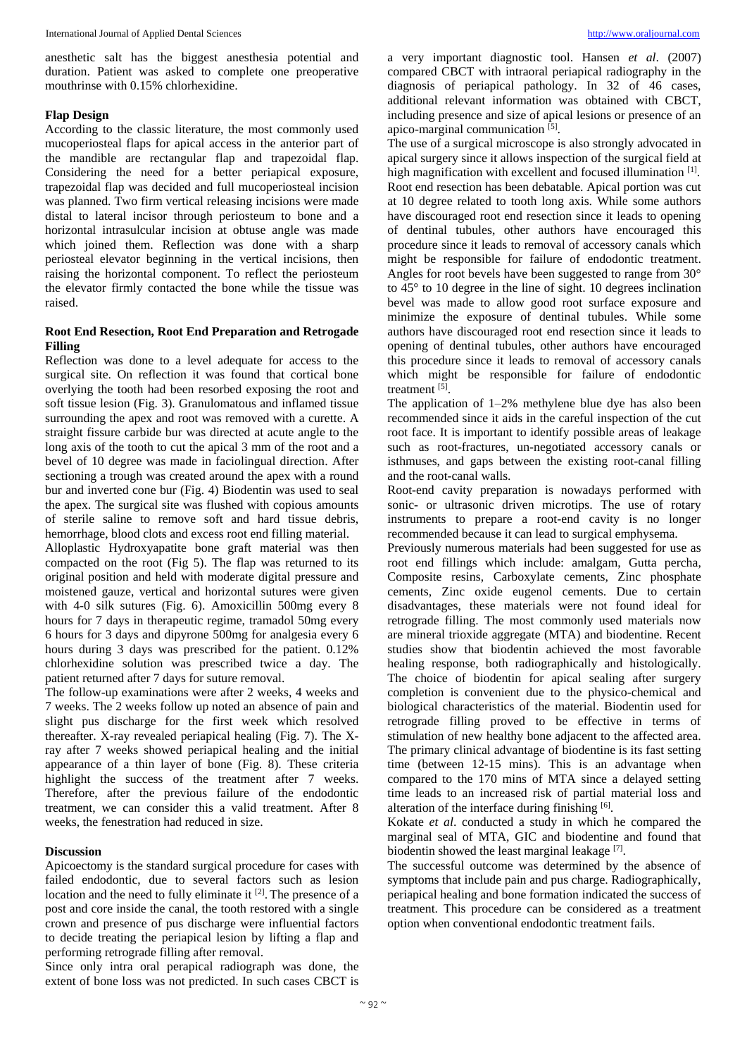anesthetic salt has the biggest anesthesia potential and duration. Patient was asked to complete one preoperative mouthrinse with 0.15% chlorhexidine.

### **Flap Design**

According to the classic literature, the most commonly used mucoperiosteal flaps for apical access in the anterior part of the mandible are rectangular flap and trapezoidal flap. Considering the need for a better periapical exposure, trapezoidal flap was decided and full mucoperiosteal incision was planned. Two firm vertical releasing incisions were made distal to lateral incisor through periosteum to bone and a horizontal intrasulcular incision at obtuse angle was made which joined them. Reflection was done with a sharp periosteal elevator beginning in the vertical incisions, then raising the horizontal component. To reflect the periosteum the elevator firmly contacted the bone while the tissue was raised.

## **Root End Resection, Root End Preparation and Retrogade Filling**

Reflection was done to a level adequate for access to the surgical site. On reflection it was found that cortical bone overlying the tooth had been resorbed exposing the root and soft tissue lesion (Fig. 3). Granulomatous and inflamed tissue surrounding the apex and root was removed with a curette. A straight fissure carbide bur was directed at acute angle to the long axis of the tooth to cut the apical 3 mm of the root and a bevel of 10 degree was made in faciolingual direction. After sectioning a trough was created around the apex with a round bur and inverted cone bur (Fig. 4) Biodentin was used to seal the apex. The surgical site was flushed with copious amounts of sterile saline to remove soft and hard tissue debris, hemorrhage, blood clots and excess root end filling material.

Alloplastic Hydroxyapatite bone graft material was then compacted on the root (Fig 5). The flap was returned to its original position and held with moderate digital pressure and moistened gauze, vertical and horizontal sutures were given with 4-0 silk sutures (Fig. 6). Amoxicillin 500mg every 8 hours for 7 days in therapeutic regime, tramadol 50mg every 6 hours for 3 days and dipyrone 500mg for analgesia every 6 hours during 3 days was prescribed for the patient. 0.12% chlorhexidine solution was prescribed twice a day. The patient returned after 7 days for suture removal.

The follow-up examinations were after 2 weeks, 4 weeks and 7 weeks. The 2 weeks follow up noted an absence of pain and slight pus discharge for the first week which resolved thereafter. X-ray revealed periapical healing (Fig. 7). The Xray after 7 weeks showed periapical healing and the initial appearance of a thin layer of bone (Fig. 8). These criteria highlight the success of the treatment after 7 weeks. Therefore, after the previous failure of the endodontic treatment, we can consider this a valid treatment. After 8 weeks, the fenestration had reduced in size.

## **Discussion**

Apicoectomy is the standard surgical procedure for cases with failed endodontic, due to several factors such as lesion location and the need to fully eliminate it  $[2]$ . The presence of a post and core inside the canal, the tooth restored with a single crown and presence of pus discharge were influential factors to decide treating the periapical lesion by lifting a flap and performing retrograde filling after removal.

Since only intra oral perapical radiograph was done, the extent of bone loss was not predicted. In such cases CBCT is

a very important diagnostic tool. Hansen *et al*. (2007) compared CBCT with intraoral periapical radiography in the diagnosis of periapical pathology. In 32 of 46 cases, additional relevant information was obtained with CBCT, including presence and size of apical lesions or presence of an apico-marginal communication<sup>[5]</sup>.

The use of a surgical microscope is also strongly advocated in apical surgery since it allows inspection of the surgical field at high magnification with excellent and focused illumination<sup>[1]</sup>. Root end resection has been debatable. Apical portion was cut at 10 degree related to tooth long axis. While some authors have discouraged root end resection since it leads to opening of dentinal tubules, other authors have encouraged this procedure since it leads to removal of accessory canals which might be responsible for failure of endodontic treatment. Angles for root bevels have been suggested to range from 30° to 45° to 10 degree in the line of sight. 10 degrees inclination bevel was made to allow good root surface exposure and minimize the exposure of dentinal tubules. While some authors have discouraged root end resection since it leads to opening of dentinal tubules, other authors have encouraged this procedure since it leads to removal of accessory canals which might be responsible for failure of endodontic treatment [5].

The application of 1–2% methylene blue dye has also been recommended since it aids in the careful inspection of the cut root face. It is important to identify possible areas of leakage such as root-fractures, un-negotiated accessory canals or isthmuses, and gaps between the existing root-canal filling and the root-canal walls.

Root-end cavity preparation is nowadays performed with sonic- or ultrasonic driven microtips. The use of rotary instruments to prepare a root-end cavity is no longer recommended because it can lead to surgical emphysema.

Previously numerous materials had been suggested for use as root end fillings which include: amalgam, Gutta percha, Composite resins, Carboxylate cements, Zinc phosphate cements, Zinc oxide eugenol cements. Due to certain disadvantages, these materials were not found ideal for retrograde filling. The most commonly used materials now are mineral trioxide aggregate (MTA) and biodentine. Recent studies show that biodentin achieved the most favorable healing response, both radiographically and histologically. The choice of biodentin for apical sealing after surgery completion is convenient due to the physico-chemical and biological characteristics of the material. Biodentin used for retrograde filling proved to be effective in terms of stimulation of new healthy bone adjacent to the affected area. The primary clinical advantage of biodentine is its fast setting time (between 12-15 mins). This is an advantage when compared to the 170 mins of MTA since a delayed setting time leads to an increased risk of partial material loss and alteration of the interface during finishing [6].

Kokate *et al*. conducted a study in which he compared the marginal seal of MTA, GIC and biodentine and found that biodentin showed the least marginal leakage [7].

The successful outcome was determined by the absence of symptoms that include pain and pus charge. Radiographically, periapical healing and bone formation indicated the success of treatment. This procedure can be considered as a treatment option when conventional endodontic treatment fails.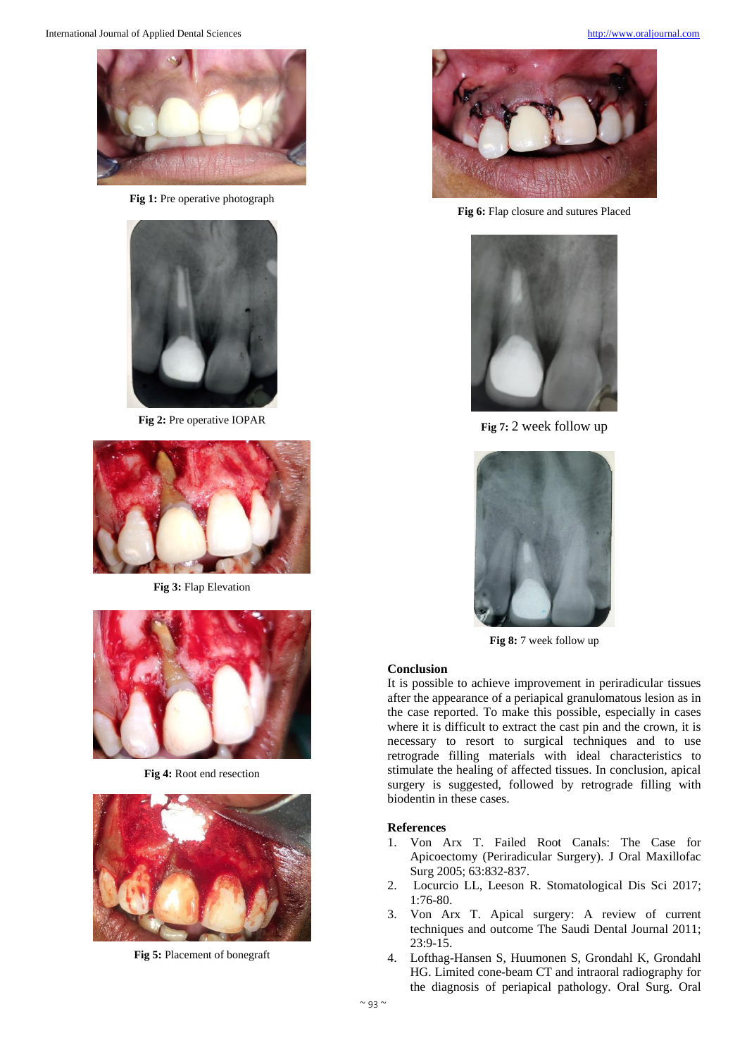

**Fig 1:** Pre operative photograph



**Fig 2:** Pre operative IOPAR



**Fig 3:** Flap Elevation



**Fig 4:** Root end resection



**Fig 5:** Placement of bonegraft



**Fig 6:** Flap closure and sutures Placed



**Fig 7:** 2 week follow up



**Fig 8:** 7 week follow up

### **Conclusion**

It is possible to achieve improvement in periradicular tissues after the appearance of a periapical granulomatous lesion as in the case reported. To make this possible, especially in cases where it is difficult to extract the cast pin and the crown, it is necessary to resort to surgical techniques and to use retrograde filling materials with ideal characteristics to stimulate the healing of affected tissues. In conclusion, apical surgery is suggested, followed by retrograde filling with biodentin in these cases.

### **References**

- 1. Von Arx T. Failed Root Canals: The Case for Apicoectomy (Periradicular Surgery). J Oral Maxillofac Surg 2005; 63:832-837.
- 2. Locurcio LL, Leeson R. Stomatological Dis Sci 2017; 1:76-80.
- 3. Von Arx T. Apical surgery: A review of current techniques and outcome The Saudi Dental Journal 2011; 23:9-15.
- 4. Lofthag-Hansen S, Huumonen S, Grondahl K, Grondahl HG. Limited cone-beam CT and intraoral radiography for the diagnosis of periapical pathology. Oral Surg. Oral